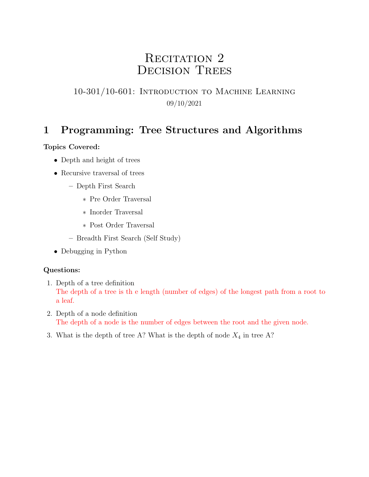# RECITATION 2 DECISION TREES

## 10-301/10-601: Introduction to Machine Learning 09/10/2021

## 1 Programming: Tree Structures and Algorithms

### Topics Covered:

- Depth and height of trees
- Recursive traversal of trees
	- Depth First Search
		- ∗ Pre Order Traversal
		- ∗ Inorder Traversal
		- ∗ Post Order Traversal
	- Breadth First Search (Self Study)
- Debugging in Python

## Questions:

- 1. Depth of a tree definition The depth of a tree is th e length (number of edges) of the longest path from a root to a leaf.
- 2. Depth of a node definition The depth of a node is the number of edges between the root and the given node.
- 3. What is the depth of tree A? What is the depth of node  $X_4$  in tree A?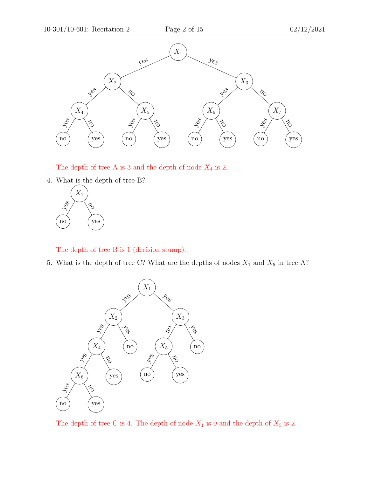

The depth of tree A is 3 and the depth of node  $X_4$  is 2.

4. What is the depth of tree B?



The depth of tree B is 1 (decision stump).

5. What is the depth of tree C? What are the depths of nodes  $X_1$  and  $X_5$  in tree A?



The depth of tree C is 4. The depth of node  $X_1$  is 0 and the depth of  $X_5$  is 2.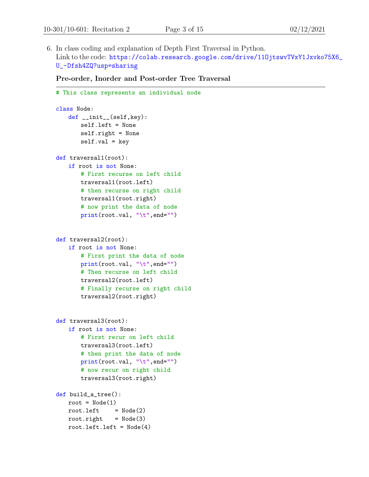6. In class coding and explanation of Depth First Traversal in Python. Link to the code: https://colab.research.google.com/drive/110jtswvTVxY1Jxvko75X6\_ [U\\_-Dfsh4ZQ?usp=sharing](https://colab.research.google.com/drive/11OjtswvTVxY1Jxvko75X6_U_-Dfsh4ZQ?usp=sharing)

Pre-order, Inorder and Post-order Tree Traversal

```
# This class represents an individual node
class Node:
   def __init__(self,key):
       self.left = None
       self.right = None
       self.val = keydef traversal1(root):
   if root is not None:
       # First recurse on left child
       traversal1(root.left)
       # then recurse on right child
       traversal1(root.right)
       # now print the data of node
       print(root.val, "\t",end="")
def traversal2(root):
   if root is not None:
       # First print the data of node
       print(root.val, "\t",end="")
       # Then recurse on left child
       traversal2(root.left)
       # Finally recurse on right child
       traversal2(root.right)
def traversal3(root):
   if root is not None:
       # First recur on left child
       traversal3(root.left)
       # then print the data of node
       print(root.val, "\t",end="")
       # now recur on right child
       traversal3(root.right)
def build_a_tree():
   root = Node(1)root.left = Node(2)root.right = Node(3)root.left.left = Node(4)
```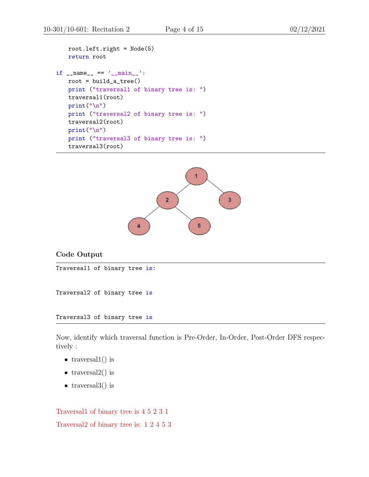```
root.left.right = Node(5)return root
if __name__ == '__main__':
   root = build_a_ttree()print ("traversal1 of binary tree is: ")
   traversal1(root)
   print("\n")
   print ("traversal2 of binary tree is: ")
   traversal2(root)
   print("\n")
   print ("traversal3 of binary tree is: ")
   traversal3(root)
```


Code Output

Traversal1 of binary tree is:

Traversal2 of binary tree is

Traversal3 of binary tree is

Now, identify which traversal function is Pre-Order, In-Order, Post-Order DFS respectively :

- traversal $1()$  is
- traversal $2()$  is
- traversal $3()$  is

Traversal1 of binary tree is 4 5 2 3 1 Traversal2 of binary tree is: 1 2 4 5 3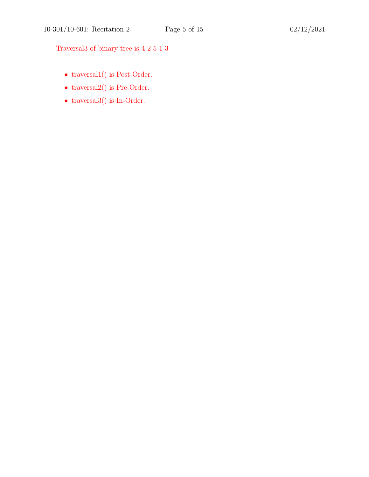Traversal3 of binary tree is 4 2 5 1 3

- traversal1() is Post-Order.
- traversal $2()$  is Pre-Order.
- $\bullet\,$  traversal<br>3() is In-Order.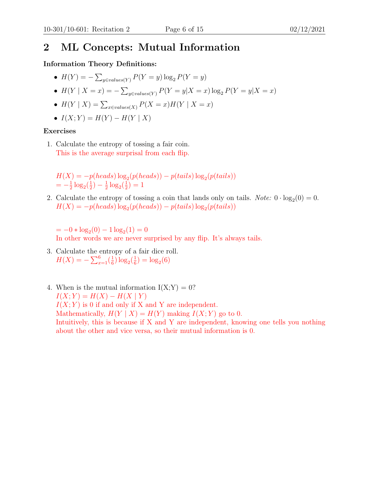## 2 ML Concepts: Mutual Information

### Information Theory Definitions:

• 
$$
H(Y) = -\sum_{y \in values(Y)} P(Y = y) \log_2 P(Y = y)
$$

• 
$$
H(Y | X = x) = -\sum_{y \in values(Y)} P(Y = y | X = x) \log_2 P(Y = y | X = x)
$$

- $H(Y | X) = \sum_{x \in values(X)} P(X = x)H(Y | X = x)$
- $I(X; Y) = H(Y) H(Y | X)$

#### Exercises

1. Calculate the entropy of tossing a fair coin. This is the average surprisal from each flip.

 $H(X) = -p(heads) \log_2(p(heads)) - p(tails) \log_2(p(tails))$  $=-\frac{1}{2}$  $\frac{1}{2} \log_2(\frac{1}{2})$  $(\frac{1}{2}) - \frac{1}{2}$  $\frac{1}{2} \log_2(\frac{1}{2})$  $(\frac{1}{2}) = 1$ 

2. Calculate the entropy of tossing a coin that lands only on tails. *Note:*  $0 \cdot \log_2(0) = 0$ .  $H(X) = -p(heads) \log_2(p(heads)) - p(tails) \log_2(p(tails))$ 

 $= -0 * log<sub>2</sub>(0) - 1 log<sub>2</sub>(1) = 0$ 

In other words we are never surprised by any flip. It's always tails.

- 3. Calculate the entropy of a fair dice roll.  $H(X) = -\sum_{x=1}^{6} \left(\frac{1}{6}\right)$  $\frac{1}{6}$ )  $\log_2(\frac{1}{6}$  $(\frac{1}{6}) = \log_2(6)$
- 4. When is the mutual information  $I(X;Y) = 0$ ?  $I(X; Y) = H(X) - H(X | Y)$  $I(X; Y)$  is 0 if and only if X and Y are independent. Mathematically,  $H(Y | X) = H(Y)$  making  $I(X; Y)$  go to 0. Intuitively, this is because if X and Y are independent, knowing one tells you nothing about the other and vice versa, so their mutual information is 0.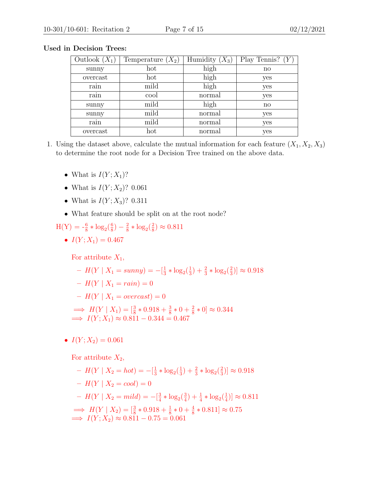| Outlook $(X_1)$ | Temperature $(X_2)$ | Humidity $(X_3)$ | Play Tennis? $(Y$ |
|-----------------|---------------------|------------------|-------------------|
| sunny           | hot                 | high             | $\mathbf{n}$      |
| overcast        | hot                 | high             | yes               |
| rain            | mild                | high             | yes               |
| rain            | cool                | normal           | yes               |
| sunny           | mild                | high             | $\mathbf{n}$      |
| sunny           | mild                | normal           | yes               |
| rain            | mild                | normal           | yes               |
| overcast        | hot                 | normal           | yes               |

#### Used in Decision Trees:

- 1. Using the dataset above, calculate the mutual information for each feature  $(X_1, X_2, X_3)$ to determine the root node for a Decision Tree trained on the above data.
	- What is  $I(Y; X_1)$ ?
	- What is  $I(Y; X_2)$ ? 0.061
	- What is  $I(Y; X_3)$ ? 0.311
	- What feature should be split on at the root node?
	- $H(Y) = -\frac{6}{8} * \log_2(\frac{6}{8})$  $\frac{6}{8}$ ) –  $\frac{2}{8}$  $\frac{2}{8} * \log_2(\frac{2}{8})$  $(\frac{2}{8}) \approx 0.811$ 
		- $I(Y; X_1) = 0.467$

For attribute  $X_1$ ,

$$
- H(Y | X_1 = sunny) = -[\frac{1}{3} * \log_2(\frac{1}{3}) + \frac{2}{3} * \log_2(\frac{2}{3})] \approx 0.918
$$
  
\n
$$
- H(Y | X_1 = rain) = 0
$$
  
\n
$$
- H(Y | X_1 = overcast) = 0
$$
  
\n
$$
\implies H(Y | X_1) = [\frac{3}{8} * 0.918 + \frac{3}{8} * 0 + \frac{2}{8} * 0] \approx 0.344
$$
  
\n
$$
\implies I(Y; X_1) \approx 0.811 - 0.344 = 0.467
$$

•  $I(Y; X_2) = 0.061$ 

For attribute  $X_2$ ,

 $- H(Y | X_2 = hot) = -\left[\frac{1}{3}\right]$  $\frac{1}{3} * \log_2(\frac{1}{3})$  $(\frac{1}{3}) + \frac{2}{3} * \log_2(\frac{2}{3})$  $(\frac{2}{3})] \approx 0.918$  $- H(Y | X_2 = cool) = 0$  $- H(Y | X_2 = mild) = -[\frac{3}{4}]$  $\frac{3}{4} * \log_2(\frac{3}{4})$  $\frac{3}{4}$ ) +  $\frac{1}{4} * \log_2(\frac{1}{4})$  $(\frac{1}{4})] \approx 0.811$  $\implies H(Y | X_2) = \left[\frac{3}{8} * 0.918 + \frac{1}{8} * 0 + \frac{4}{8} * 0.811\right] \approx 0.75$  $\implies I(Y; X_2) \approx 0.811 - 0.75 = 0.061$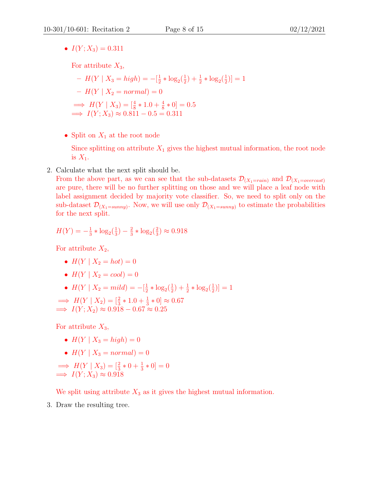•  $I(Y; X_3) = 0.311$ 

For attribute  $X_3$ ,

 $- H(Y | X_3 = high) = -[\frac{1}{2}]$  $\frac{1}{2} * \log_2(\frac{1}{2})$  $(\frac{1}{2}) + \frac{1}{2} * \log_2(\frac{1}{2})$  $(\frac{1}{2})] = 1$  $-H(Y | X_2 = normal) = 0$  $\implies H(Y | X_3) = \left[\frac{4}{8} * 1.0 + \frac{4}{8} * 0\right] = 0.5$  $\implies I(Y; X_3) \approx 0.811 - 0.5 = 0.311$ 

• Split on  $X_1$  at the root node

Since splitting on attribute  $X_1$  gives the highest mutual information, the root node is  $X_1$ .

2. Calculate what the next split should be.

From the above part, as we can see that the sub-datasets  $\mathcal{D}_{(X_1=rain)}$  and  $\mathcal{D}_{(X_1=overs)$ are pure, there will be no further splitting on those and we will place a leaf node with label assignment decided by majority vote classifier. So, we need to split only on the sub-dataset  $\mathcal{D}_{(X_1=sunny)}$ . Now, we will use only  $\mathcal{D}_{(X_1=sunny)}$  to estimate the probabilities for the next split.

$$
H(Y) = -\frac{1}{3} * \log_2(\frac{1}{3}) - \frac{2}{3} * \log_2(\frac{2}{3}) \approx 0.918
$$

For attribute  $X_2$ ,

- $H(Y | X_2 = hot) = 0$
- $H(Y | X_2 = cool) = 0$
- $H(Y | X_2 = mild) = -[\frac{1}{2}]$  $\frac{1}{2} * \log_2(\frac{1}{2})$  $(\frac{1}{2}) + \frac{1}{2} * \log_2(\frac{1}{2})$  $(\frac{1}{2})] = 1$

 $\implies H(Y | X_2) = [\frac{2}{3} * 1.0 + \frac{1}{3} * 0] \approx 0.67$  $\implies I(Y; X_2) \approx 0.918 - 0.67 \approx 0.25$ 

For attribute  $X_3$ ,

- $H(Y | X_3 = high) = 0$
- $H(Y | X_3 = normal) = 0$

 $\implies H(Y | X_3) = \left[\frac{2}{3} * 0 + \frac{1}{3} * 0\right] = 0$  $\implies I(Y; X_3) \approx 0.918$ 

We split using attribute  $X_3$  as it gives the highest mutual information.

3. Draw the resulting tree.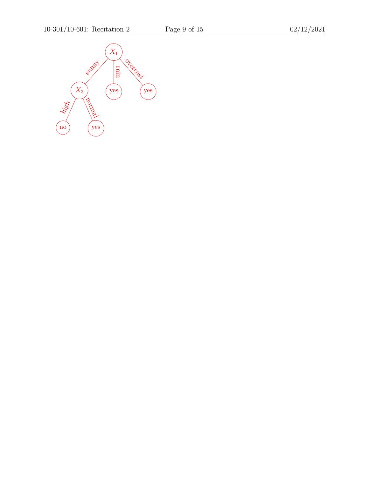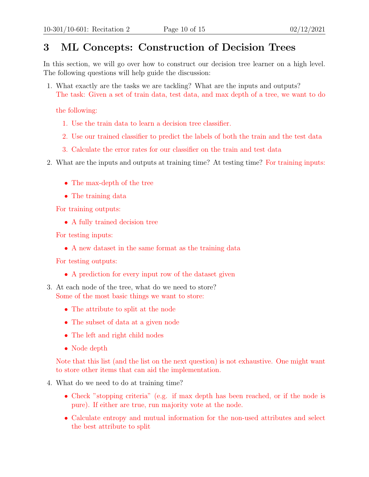## 3 ML Concepts: Construction of Decision Trees

In this section, we will go over how to construct our decision tree learner on a high level. The following questions will help guide the discussion:

1. What exactly are the tasks we are tackling? What are the inputs and outputs? The task: Given a set of train data, test data, and max depth of a tree, we want to do

the following:

- 1. Use the train data to learn a decision tree classifier.
- 2. Use our trained classifier to predict the labels of both the train and the test data
- 3. Calculate the error rates for our classifier on the train and test data
- 2. What are the inputs and outputs at training time? At testing time? For training inputs:
	- The max-depth of the tree
	- The training data

For training outputs:

• A fully trained decision tree

For testing inputs:

• A new dataset in the same format as the training data

For testing outputs:

- A prediction for every input row of the dataset given
- 3. At each node of the tree, what do we need to store? Some of the most basic things we want to store:
	- The attribute to split at the node
	- The subset of data at a given node
	- The left and right child nodes
	- Node depth

Note that this list (and the list on the next question) is not exhaustive. One might want to store other items that can aid the implementation.

- 4. What do we need to do at training time?
	- Check "stopping criteria" (e.g. if max depth has been reached, or if the node is pure). If either are true, run majority vote at the node.
	- Calculate entropy and mutual information for the non-used attributes and select the best attribute to split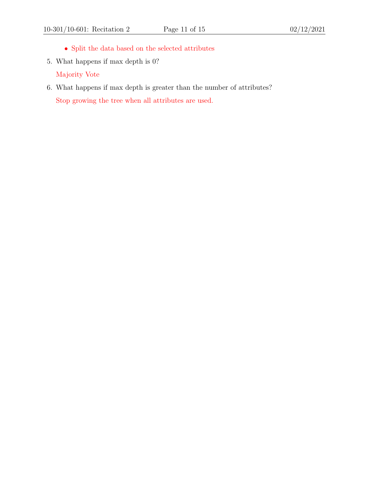- $\bullet\,$  Split the data based on the selected attributes
- 5. What happens if max depth is 0? Majority Vote
- 6. What happens if max depth is greater than the number of attributes? Stop growing the tree when all attributes are used.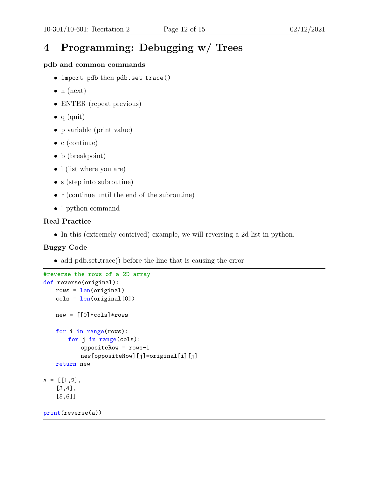# 4 Programming: Debugging w/ Trees

### pdb and common commands

- import pdb then pdb.set\_trace()
- $\bullet$  n (next)
- ENTER (repeat previous)
- $q$  (quit)
- p variable (print value)
- c (continue)
- b (breakpoint)
- l (list where you are)
- s (step into subroutine)
- r (continue until the end of the subroutine)
- ! python command

#### Real Practice

• In this (extremely contrived) example, we will reversing a 2d list in python.

## Buggy Code

• add pdb.set\_trace() before the line that is causing the error

```
#reverse the rows of a 2D array
def reverse(original):
   rows = len(original)cols = len(original[0])new = [0]*cols]*rowsfor i in range(rows):
       for j in range(cols):
          oppositeRow = rows-i
          new[oppositeRow][j]=original[i][j]
   return new
a = [[1,2],[3,4],
   [5,6]]
```

```
print(reverse(a))
```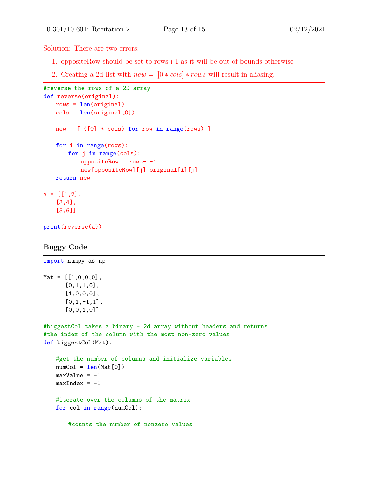Solution: There are two errors:

- 1. oppositeRow should be set to rows-i-1 as it will be out of bounds otherwise
- 2. Creating a 2d list with  $new = [[0 * \textit{cols}] * \textit{rows}$  will result in aliasing.

```
#reverse the rows of a 2D array
def reverse(original):
   rows = len(original)
   cols = len(original[0])
   new = [ ( [0] * cols) for row in range(rows) ]for i in range(rows):
       for j in range(cols):
           oppositeRow = rows-i-1
           new[oppositeRow][j]=original[i][j]
   return new
a = [[1,2],[3,4],
   [5,6]]
```
print(reverse(a))

#### Buggy Code

```
import numpy as np
Mat = [1, 0, 0, 0],[0,1,1,0],
      [1,0,0,0],
      [0,1,-1,1],
      [0,0,1,0]]
#biggestCol takes a binary - 2d array without headers and returns
#the index of the column with the most non-zero values
def biggestCol(Mat):
   #get the number of columns and initialize variables
   numCol = len(Mat[0])maxValue = -1maxIndex = -1#iterate over the columns of the matrix
   for col in range(numCol):
       #counts the number of nonzero values
```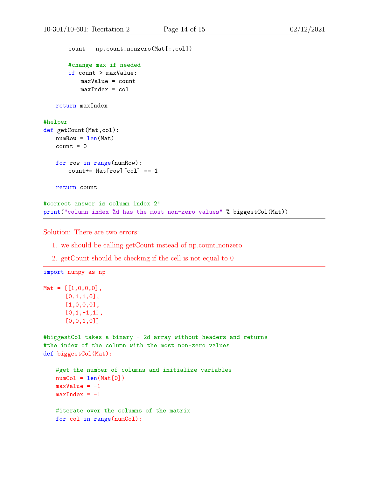```
count = np.count_nonzero(Mat[:,col])
       #change max if needed
       if count > maxValue:
          maxValue = count
          maxIndex = colreturn maxIndex
#helper
def getCount(Mat,col):
   numRow = len(Mat)count = 0for row in range(numRow):
       count+= Mat[row][col] == 1return count
#correct answer is column index 2!
print("column index %d has the most non-zero values" % biggestCol(Mat))
```
Solution: There are two errors:

- 1. we should be calling getCount instead of np.count nonzero
- 2. getCount should be checking if the cell is not equal to 0

```
Mat = [1, 0, 0, 0],[0,1,1,0],
       [1,0,0,0],
       [0,1,-1,1],
       [0,0,1,0]]
```
import numpy as np

```
#biggestCol takes a binary - 2d array without headers and returns
#the index of the column with the most non-zero values
def biggestCol(Mat):
```

```
#get the number of columns and initialize variables
numCol = len(Mat[0])maxValue = -1maxIndex = -1#iterate over the columns of the matrix
for col in range(numCol):
```